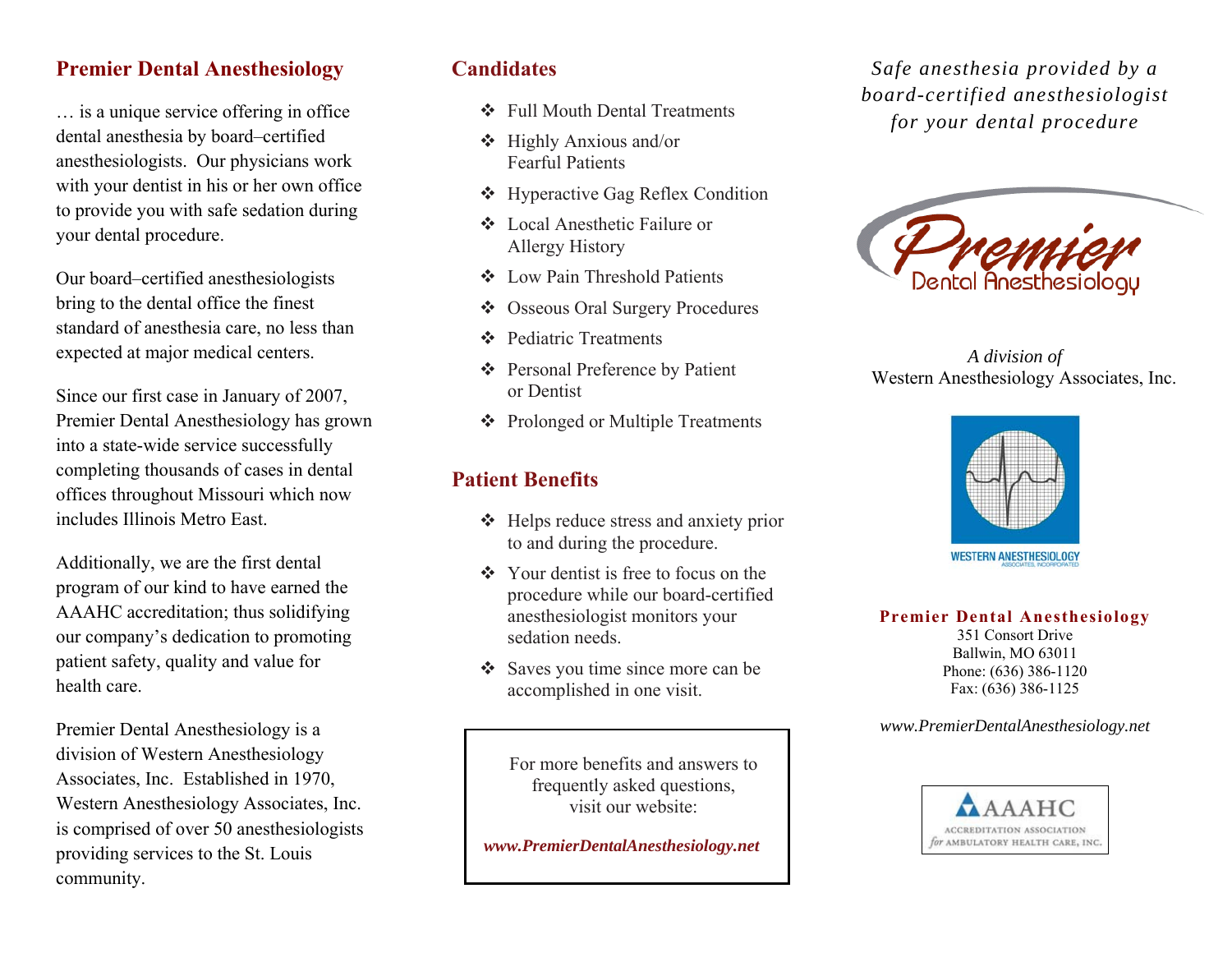### **Premier Dental Anesthesiology**

… is a unique service offering in office dental anesthesia by board–certified anesthesiologists. Our physicians work with your dentist in his or her own office to provide you with safe sedation during your dental procedure.

Our board–certified anesthesiologists bring to the dental office the finest standard of anesthesia care, no less than expected at major medical centers.

Since our first case in January of 2007, Premier Dental Anesthesiology has grown into a state-wide service successfully completing thousands of cases in dental offices throughout Missouri which now includes Illinois Metro East.

Additionally, we are the first dental program of our kind to have earned the AAAHC accreditation; thus solidifying our company's dedication to promoting patient safety, quality and value for health care.

Premier Dental Anesthesiology is a division of Western Anesthesiology Associates, Inc. Established in 1970, Western Anesthesiology Associates, Inc. is comprised of over 50 anesthesiologists providing services to the St. Louis community.

# **Candidates**

- Full Mouth Dental Treatments
- Highly Anxious and/or Fearful Patients
- ❖ Hyperactive Gag Reflex Condition
- Local Anesthetic Failure or Allergy History
- Low Pain Threshold Patients
- $\frac{1}{2}$ Osseous Oral Surgery Procedures
- ❖ Pediatric Treatments
- Personal Preference by Patient or Dentist
- ❖ Prolonged or Multiple Treatments

## **Patient Benefits**

- ❖ Helps reduce stress and anxiety prior to and during the procedure.
- $\triangleleft$  Your dentist is free to focus on the procedure while our board-certified anesthesiologist monitors your sedation needs.
- Saves you time since more can be accomplished in one visit.

For more benefits and answers to frequently asked questions, visit our website:

 *www.PremierDentalAnesthesiology.net* 

*Safe anesthesia provided by a board-certified anesthesiologist for your dental procedure*



*A division of*  Western Anesthesiology Associates, Inc.



**Premier Dental Anesthesiology** 

351 Consort Drive Ballwin, MO 63011 Phone: (636) 386-1120 Fax: (636) 386-1125

*www.PremierDentalAnesthesiology.net*